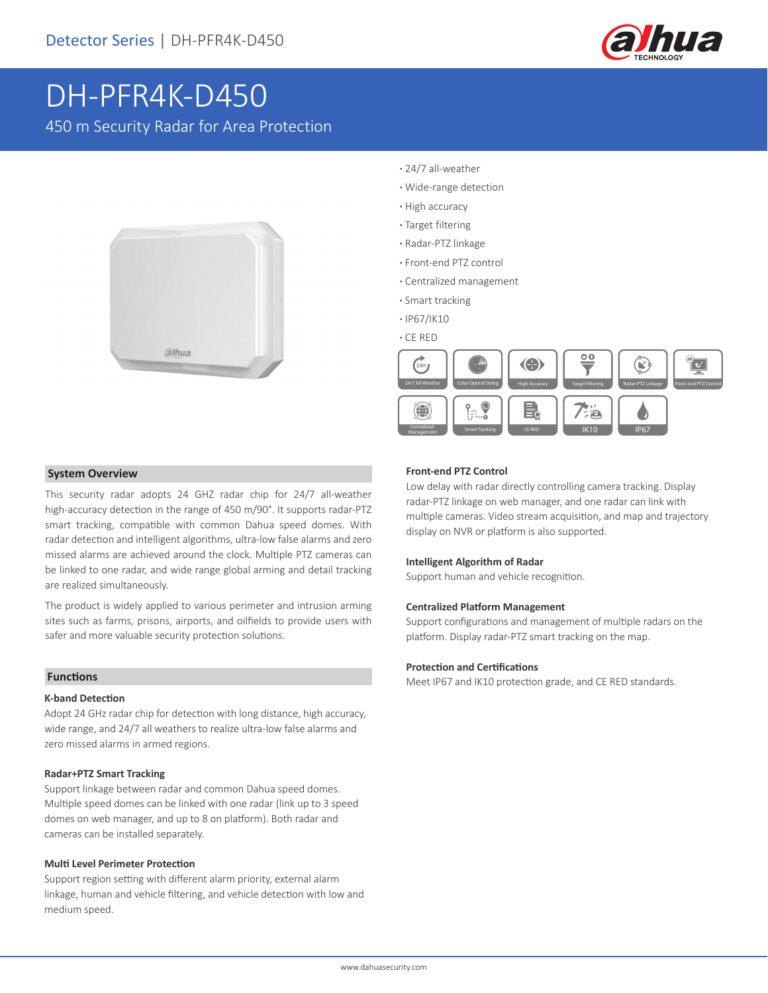

# DH-PFR4K-D450

450 m Security Radar for Area Protection



- **·** 24/7 all-weather
- **·** Wide-range detection
- **·** High accuracy
- **·** Target filtering
- **·** Radar-PTZ linkage
- **·** Front-end PTZ control
- **·** Centralized management
- **·** Smart tracking
- **·** IP67/IK10
- **·** CE RED



### **System Overview**

This security radar adopts 24 GHZ radar chip for 24/7 all-weather high-accuracy detection in the range of 450 m/90°. It supports radar-PTZ smart tracking, compatible with common Dahua speed domes. With radar detection and intelligent algorithms, ultra-low false alarms and zero missed alarms are achieved around the clock. Multiple PTZ cameras can be linked to one radar, and wide range global arming and detail tracking are realized simultaneously.

The product is widely applied to various perimeter and intrusion arming sites such as farms, prisons, airports, and oilfields to provide users with safer and more valuable security protection solutions.

#### **Functions**

#### **K-band Detection**

Adopt 24 GHz radar chip for detection with long distance, high accuracy, wide range, and 24/7 all weathers to realize ultra-low false alarms and zero missed alarms in armed regions.

#### **Radar+PTZ Smart Tracking**

Support linkage between radar and common Dahua speed domes. Multiple speed domes can be linked with one radar (link up to 3 speed domes on web manager, and up to 8 on platform). Both radar and cameras can be installed separately.

#### **Multi Level Perimeter Protection**

Support region setting with different alarm priority, external alarm linkage, human and vehicle filtering, and vehicle detection with low and medium speed.

#### **Front-end PTZ Control**

Low delay with radar directly controlling camera tracking. Display radar-PTZ linkage on web manager, and one radar can link with multiple cameras. Video stream acquisition, and map and trajectory display on NVR or platform is also supported.

#### **Intelligent Algorithm of Radar**

Support human and vehicle recognition.

#### **Centralized Platform Management**

Support configurations and management of multiple radars on the platform. Display radar-PTZ smart tracking on the map.

#### **Protection and Certifications**

Meet IP67 and IK10 protection grade, and CE RED standards.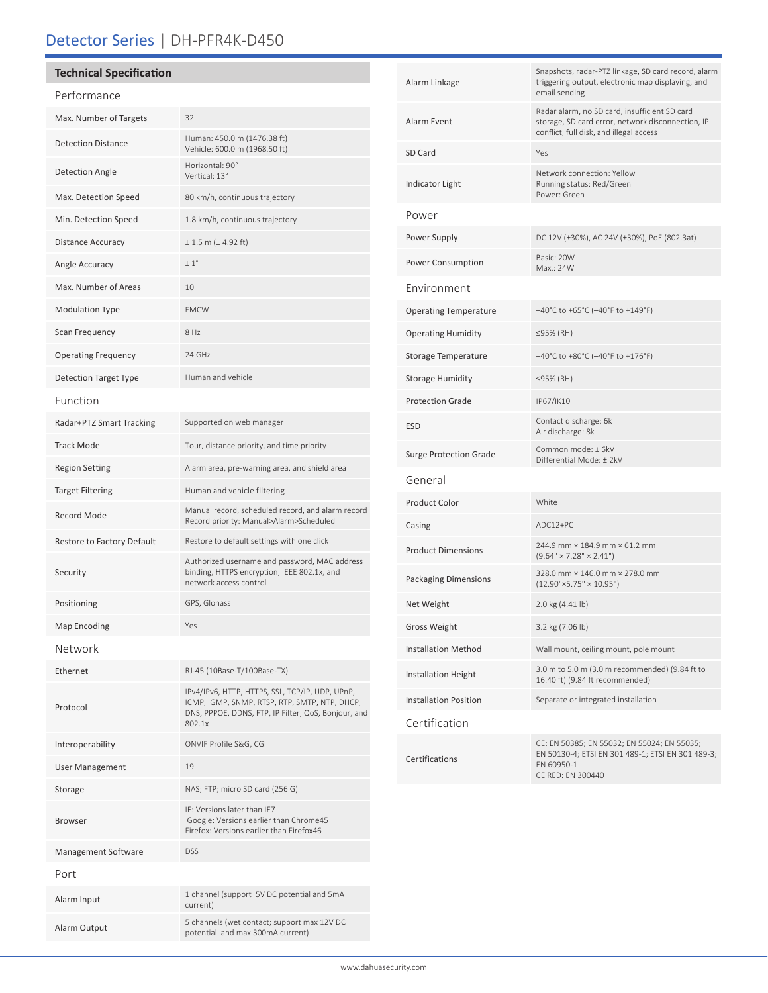# Detector Series | DH-PFR4K-D450

| <b>Technical Specification</b> |                                                                                                                                                                   |
|--------------------------------|-------------------------------------------------------------------------------------------------------------------------------------------------------------------|
| Performance                    |                                                                                                                                                                   |
| Max. Number of Targets         | 32                                                                                                                                                                |
| <b>Detection Distance</b>      | Human: 450.0 m (1476.38 ft)<br>Vehicle: 600.0 m (1968.50 ft)                                                                                                      |
| <b>Detection Angle</b>         | Horizontal: 90°<br>Vertical: 13°                                                                                                                                  |
| Max. Detection Speed           | 80 km/h, continuous trajectory                                                                                                                                    |
| Min. Detection Speed           | 1.8 km/h, continuous trajectory                                                                                                                                   |
| <b>Distance Accuracy</b>       | $± 1.5$ m ( $± 4.92$ ft)                                                                                                                                          |
| Angle Accuracy                 | ±1°                                                                                                                                                               |
| Max. Number of Areas           | 10                                                                                                                                                                |
| <b>Modulation Type</b>         | <b>FMCW</b>                                                                                                                                                       |
| Scan Frequency                 | 8 Hz                                                                                                                                                              |
| <b>Operating Frequency</b>     | 24 GHz                                                                                                                                                            |
| <b>Detection Target Type</b>   | Human and vehicle                                                                                                                                                 |
| Function                       |                                                                                                                                                                   |
| Radar+PTZ Smart Tracking       | Supported on web manager                                                                                                                                          |
| <b>Track Mode</b>              | Tour, distance priority, and time priority                                                                                                                        |
| <b>Region Setting</b>          | Alarm area, pre-warning area, and shield area                                                                                                                     |
| <b>Target Filtering</b>        | Human and vehicle filtering                                                                                                                                       |
| Record Mode                    | Manual record, scheduled record, and alarm record<br>Record priority: Manual>Alarm>Scheduled                                                                      |
| Restore to Factory Default     | Restore to default settings with one click                                                                                                                        |
| Security                       | Authorized username and password, MAC address<br>binding, HTTPS encryption, IEEE 802.1x, and<br>network access control                                            |
| Positioning                    | GPS, Glonass                                                                                                                                                      |
| Map Encoding                   | Yes                                                                                                                                                               |
| Network                        |                                                                                                                                                                   |
| Ethernet                       | RJ-45 (10Base-T/100Base-TX)                                                                                                                                       |
| Protocol                       | IPv4/IPv6, HTTP, HTTPS, SSL, TCP/IP, UDP, UPnP,<br>ICMP, IGMP, SNMP, RTSP, RTP, SMTP, NTP, DHCP,<br>DNS, PPPOE, DDNS, FTP, IP Filter, QoS, Bonjour, and<br>802.1x |
| Interoperability               | ONVIF Profile S&G, CGI                                                                                                                                            |
| <b>User Management</b>         | 19                                                                                                                                                                |
| Storage                        | NAS; FTP; micro SD card (256 G)                                                                                                                                   |
| <b>Browser</b>                 | IE: Versions later than IE7<br>Google: Versions earlier than Chrome45<br>Firefox: Versions earlier than Firefox46                                                 |
| Management Software            | <b>DSS</b>                                                                                                                                                        |
| Port                           |                                                                                                                                                                   |
| Alarm Input                    | 1 channel (support 5V DC potential and 5mA<br>current)                                                                                                            |
| Alarm Output                   | 5 channels (wet contact; support max 12V DC<br>potential and max 300mA current)                                                                                   |

| Alarm Linkage                 | Snapshots, radar-PTZ linkage, SD card record, alarm<br>triggering output, electronic map displaying, and<br>email sending                     |  |
|-------------------------------|-----------------------------------------------------------------------------------------------------------------------------------------------|--|
| Alarm Event                   | Radar alarm, no SD card, insufficient SD card<br>storage, SD card error, network disconnection, IP<br>conflict, full disk, and illegal access |  |
| SD Card                       | Yes                                                                                                                                           |  |
| <b>Indicator Light</b>        | Network connection: Yellow<br>Running status: Red/Green<br>Power: Green                                                                       |  |
| Power                         |                                                                                                                                               |  |
| Power Supply                  | DC 12V (±30%), AC 24V (±30%), PoE (802.3at)                                                                                                   |  |
| <b>Power Consumption</b>      | Basic: 20W<br>Max.: 24W                                                                                                                       |  |
| Environment                   |                                                                                                                                               |  |
| <b>Operating Temperature</b>  | $-40^{\circ}$ C to +65°C (-40°F to +149°F)                                                                                                    |  |
| <b>Operating Humidity</b>     | ≤95% (RH)                                                                                                                                     |  |
| Storage Temperature           | $-40^{\circ}$ C to +80°C ( $-40^{\circ}$ F to +176°F)                                                                                         |  |
| <b>Storage Humidity</b>       | ≤95% (RH)                                                                                                                                     |  |
| <b>Protection Grade</b>       | IP67/IK10                                                                                                                                     |  |
| <b>ESD</b>                    | Contact discharge: 6k<br>Air discharge: 8k                                                                                                    |  |
| <b>Surge Protection Grade</b> | Common mode: ± 6kV<br>Differential Mode: ± 2kV                                                                                                |  |
| General                       |                                                                                                                                               |  |
| <b>Product Color</b>          | White                                                                                                                                         |  |
| Casing                        | ADC12+PC                                                                                                                                      |  |
| <b>Product Dimensions</b>     | 244.9 mm × 184.9 mm × 61.2 mm<br>$(9.64" \times 7.28" \times 2.41")$                                                                          |  |
| <b>Packaging Dimensions</b>   | 328.0 mm × 146.0 mm × 278.0 mm<br>$(12.90" \times 5.75" \times 10.95")$                                                                       |  |
| Net Weight                    | 2.0 kg (4.41 lb)                                                                                                                              |  |
| <b>Gross Weight</b>           | 3.2 kg (7.06 lb)                                                                                                                              |  |
| <b>Installation Method</b>    | Wall mount, ceiling mount, pole mount                                                                                                         |  |
| <b>Installation Height</b>    | 3.0 m to 5.0 m (3.0 m recommended) (9.84 ft to<br>16.40 ft) (9.84 ft recommended)                                                             |  |
| <b>Installation Position</b>  | Separate or integrated installation                                                                                                           |  |
| Certification                 |                                                                                                                                               |  |
| Certifications                | CE: EN 50385; EN 55032; EN 55024; EN 55035;<br>EN 50130-4; ETSI EN 301 489-1; ETSI EN 301 489-3;<br>EN 60950-1<br>CE RED: EN 300440           |  |